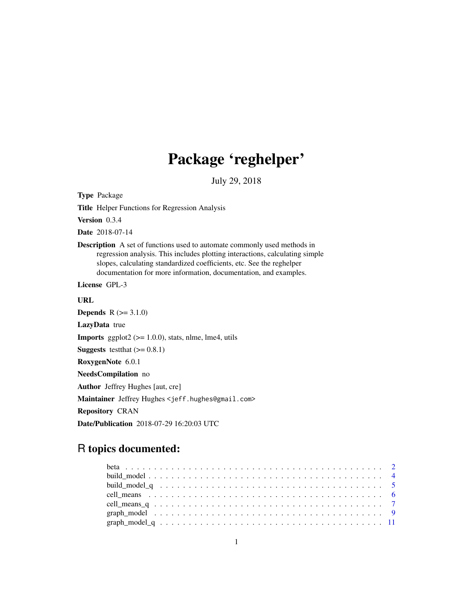# Package 'reghelper'

July 29, 2018

<span id="page-0-0"></span>Type Package

Title Helper Functions for Regression Analysis

Version 0.3.4

Date 2018-07-14

Description A set of functions used to automate commonly used methods in regression analysis. This includes plotting interactions, calculating simple slopes, calculating standardized coefficients, etc. See the reghelper documentation for more information, documentation, and examples.

License GPL-3

URL

**Depends**  $R (= 3.1.0)$ LazyData true **Imports** ggplot2 ( $> = 1.0.0$ ), stats, nlme, lme4, utils **Suggests** test that  $(>= 0.8.1)$ RoxygenNote 6.0.1 NeedsCompilation no Author Jeffrey Hughes [aut, cre] Maintainer Jeffrey Hughes <jeff.hughes@gmail.com> Repository CRAN Date/Publication 2018-07-29 16:20:03 UTC

# R topics documented: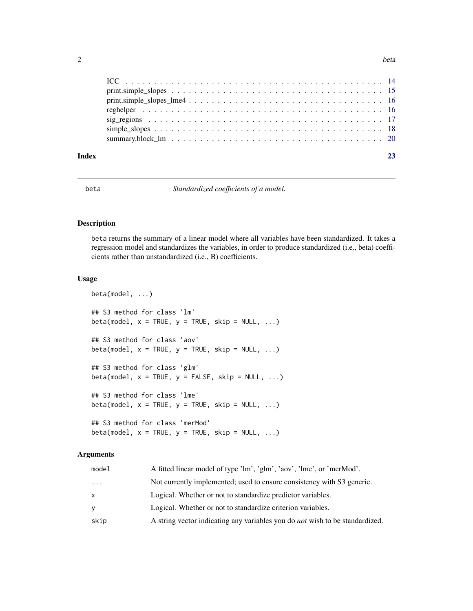<span id="page-1-0"></span>

| Index |  |
|-------|--|

<span id="page-1-1"></span>beta *Standardized coefficients of a model.*

# Description

beta returns the summary of a linear model where all variables have been standardized. It takes a regression model and standardizes the variables, in order to produce standardized (i.e., beta) coefficients rather than unstandardized (i.e., B) coefficients.

#### Usage

```
beta(model, ...)
## S3 method for class 'lm'
beta(model, x = TRUE, y = TRUE, skip = NULL, ...)
## S3 method for class 'aov'
beta(model, x = TRUE, y = TRUE, skip = NULL, ...)
## S3 method for class 'glm'
beta(model, x = TRUE, y = FALSE, skip = NULL, ...)
## S3 method for class 'lme'
beta(model, x = TRUE, y = TRUE, skip = NULL, ...)
## S3 method for class 'merMod'
beta(model, x = TRUE, y = TRUE, skip = NULL, ...)
```
#### Arguments

| model | A fitted linear model of type 'lm', 'glm', 'aov', 'lme', or 'merMod'.               |
|-------|-------------------------------------------------------------------------------------|
| .     | Not currently implemented; used to ensure consistency with S3 generic.              |
| x     | Logical. Whether or not to standardize predictor variables.                         |
| ٧     | Logical. Whether or not to standardize criterion variables.                         |
| skip  | A string vector indicating any variables you do <i>not</i> wish to be standardized. |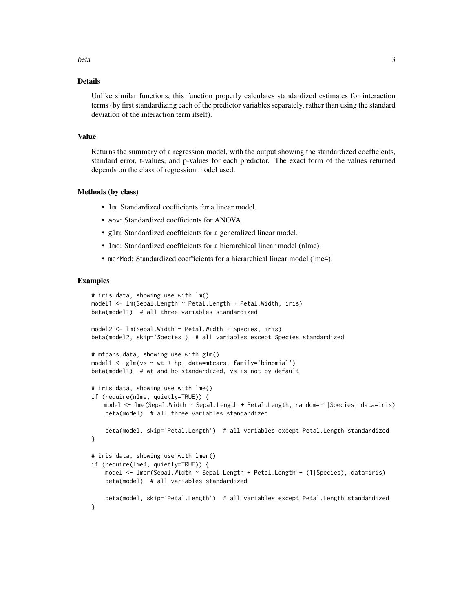#### beta 3

#### Details

Unlike similar functions, this function properly calculates standardized estimates for interaction terms (by first standardizing each of the predictor variables separately, rather than using the standard deviation of the interaction term itself).

#### Value

Returns the summary of a regression model, with the output showing the standardized coefficients, standard error, t-values, and p-values for each predictor. The exact form of the values returned depends on the class of regression model used.

#### Methods (by class)

- lm: Standardized coefficients for a linear model.
- aov: Standardized coefficients for ANOVA.
- glm: Standardized coefficients for a generalized linear model.
- lme: Standardized coefficients for a hierarchical linear model (nlme).
- merMod: Standardized coefficients for a hierarchical linear model (lme4).

```
# iris data, showing use with lm()
model1 <- lm(Sepal.Length ~ Petal.Length + Petal.Width, iris)
beta(model1) # all three variables standardized
model2 <- lm(Sepal.Width ~ Petal.Width + Species, iris)
beta(model2, skip='Species') # all variables except Species standardized
# mtcars data, showing use with glm()
model1 <- glm(vs ~ wt + hp, data=mtcars, family='binomial')
beta(model1) # wt and hp standardized, vs is not by default
# iris data, showing use with lme()
if (require(nlme, quietly=TRUE)) {
   model <- lme(Sepal.Width ~ Sepal.Length + Petal.Length, random=~1|Species, data=iris)
   beta(model) # all three variables standardized
    beta(model, skip='Petal.Length') # all variables except Petal.Length standardized
}
# iris data, showing use with lmer()
if (require(lme4, quietly=TRUE)) {
    model <- lmer(Sepal.Width ~ Sepal.Length + Petal.Length + (1|Species), data=iris)
   beta(model) # all variables standardized
   beta(model, skip='Petal.Length') # all variables except Petal.Length standardized
}
```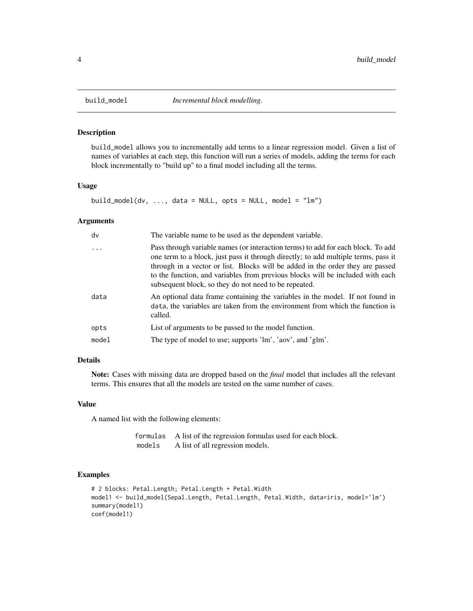<span id="page-3-1"></span><span id="page-3-0"></span>

#### Description

build\_model allows you to incrementally add terms to a linear regression model. Given a list of names of variables at each step, this function will run a series of models, adding the terms for each block incrementally to "build up" to a final model including all the terms.

#### Usage

```
build_model(dv, ..., data = NULL, opts = NULL, model = "lm")
```
#### Arguments

| dv    | The variable name to be used as the dependent variable.                                                                                                                                                                                                                                                                                                                                             |
|-------|-----------------------------------------------------------------------------------------------------------------------------------------------------------------------------------------------------------------------------------------------------------------------------------------------------------------------------------------------------------------------------------------------------|
| .     | Pass through variable names (or interaction terms) to add for each block. To add<br>one term to a block, just pass it through directly; to add multiple terms, pass it<br>through in a vector or list. Blocks will be added in the order they are passed<br>to the function, and variables from previous blocks will be included with each<br>subsequent block, so they do not need to be repeated. |
| data  | An optional data frame containing the variables in the model. If not found in<br>data, the variables are taken from the environment from which the function is<br>called.                                                                                                                                                                                                                           |
| opts  | List of arguments to be passed to the model function.                                                                                                                                                                                                                                                                                                                                               |
| model | The type of model to use; supports 'lm', 'aov', and 'glm'.                                                                                                                                                                                                                                                                                                                                          |
|       |                                                                                                                                                                                                                                                                                                                                                                                                     |

# Details

Note: Cases with missing data are dropped based on the *final* model that includes all the relevant terms. This ensures that all the models are tested on the same number of cases.

#### Value

A named list with the following elements:

| formulas | A list of the regression formulas used for each block. |
|----------|--------------------------------------------------------|
| models   | A list of all regression models.                       |

```
# 2 blocks: Petal.Length; Petal.Length + Petal.Width
model1 <- build_model(Sepal.Length, Petal.Length, Petal.Width, data=iris, model='lm')
summary(model1)
coef(model1)
```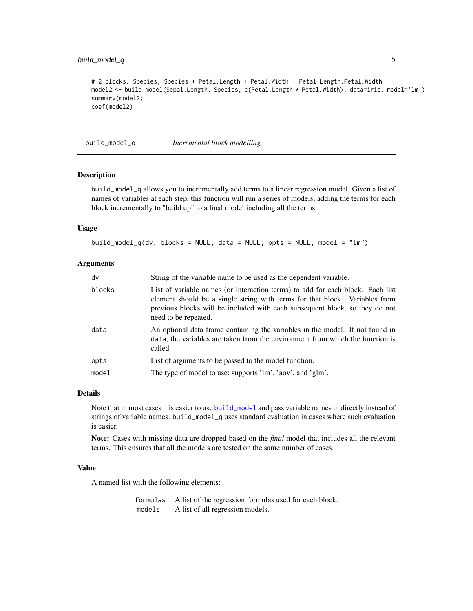# <span id="page-4-0"></span>build\_model\_q 5

```
# 2 blocks: Species; Species + Petal.Length + Petal.Width + Petal.Length:Petal.Width
model2 <- build_model(Sepal.Length, Species, c(Petal.Length * Petal.Width), data=iris, model='lm')
summary(model2)
coef(model2)
```
build\_model\_q *Incremental block modelling.*

#### Description

build\_model\_q allows you to incrementally add terms to a linear regression model. Given a list of names of variables at each step, this function will run a series of models, adding the terms for each block incrementally to "build up" to a final model including all the terms.

#### Usage

```
build_model_q(dv, blocks = NULL, data = NULL, opts = NULL, model = "lm")
```
### Arguments

| dv     | String of the variable name to be used as the dependent variable.                                                                                                                                                                                                    |
|--------|----------------------------------------------------------------------------------------------------------------------------------------------------------------------------------------------------------------------------------------------------------------------|
| blocks | List of variable names (or interaction terms) to add for each block. Each list<br>element should be a single string with terms for that block. Variables from<br>previous blocks will be included with each subsequent block, so they do not<br>need to be repeated. |
| data   | An optional data frame containing the variables in the model. If not found in<br>data, the variables are taken from the environment from which the function is<br>called.                                                                                            |
| opts   | List of arguments to be passed to the model function.                                                                                                                                                                                                                |
| model  | The type of model to use; supports 'lm', 'aov', and 'glm'.                                                                                                                                                                                                           |

#### Details

Note that in most cases it is easier to use [build\\_model](#page-3-1) and pass variable names in directly instead of strings of variable names. build\_model\_q uses standard evaluation in cases where such evaluation is easier.

Note: Cases with missing data are dropped based on the *final* model that includes all the relevant terms. This ensures that all the models are tested on the same number of cases.

#### Value

A named list with the following elements:

formulas A list of the regression formulas used for each block. models A list of all regression models.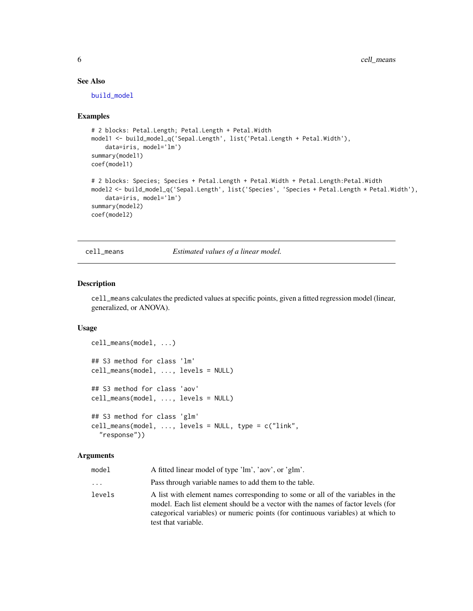# See Also

[build\\_model](#page-3-1)

#### Examples

```
# 2 blocks: Petal.Length; Petal.Length + Petal.Width
model1 <- build_model_q('Sepal.Length', list('Petal.Length + Petal.Width'),
    data=iris, model='lm')
summary(model1)
coef(model1)
# 2 blocks: Species; Species + Petal.Length + Petal.Width + Petal.Length:Petal.Width
model2 <- build_model_q('Sepal.Length', list('Species', 'Species + Petal.Length * Petal.Width'),
    data=iris, model='lm')
summary(model2)
coef(model2)
```
<span id="page-5-1"></span>cell\_means *Estimated values of a linear model.*

#### Description

cell\_means calculates the predicted values at specific points, given a fitted regression model (linear, generalized, or ANOVA).

#### Usage

```
cell_means(model, ...)
## S3 method for class 'lm'
cell_means(model, ..., levels = NULL)
## S3 method for class 'aov'
cell_means(model, ..., levels = NULL)
## S3 method for class 'glm'
cell_means(model, ..., levels = NULL, type = c("link",
  "response"))
```
#### Arguments

| model    | A fitted linear model of type 'lm', 'aov', or 'glm'.                                                                                                                                                                                                                         |
|----------|------------------------------------------------------------------------------------------------------------------------------------------------------------------------------------------------------------------------------------------------------------------------------|
| $\cdots$ | Pass through variable names to add them to the table.                                                                                                                                                                                                                        |
| levels   | A list with element names corresponding to some or all of the variables in the<br>model. Each list element should be a vector with the names of factor levels (for<br>categorical variables) or numeric points (for continuous variables) at which to<br>test that variable. |

<span id="page-5-0"></span>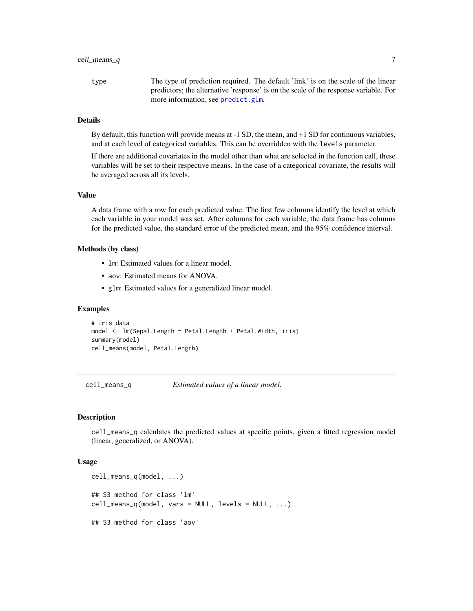<span id="page-6-0"></span>type The type of prediction required. The default 'link' is on the scale of the linear predictors; the alternative 'response' is on the scale of the response variable. For more information, see [predict.glm](#page-0-0).

#### Details

By default, this function will provide means at -1 SD, the mean, and +1 SD for continuous variables, and at each level of categorical variables. This can be overridden with the levels parameter.

If there are additional covariates in the model other than what are selected in the function call, these variables will be set to their respective means. In the case of a categorical covariate, the results will be averaged across all its levels.

#### Value

A data frame with a row for each predicted value. The first few columns identify the level at which each variable in your model was set. After columns for each variable, the data frame has columns for the predicted value, the standard error of the predicted mean, and the 95% confidence interval.

#### Methods (by class)

- lm: Estimated values for a linear model.
- aov: Estimated means for ANOVA.
- glm: Estimated values for a generalized linear model.

#### Examples

```
# iris data
model <- lm(Sepal.Length ~ Petal.Length + Petal.Width, iris)
summary(model)
cell_means(model, Petal.Length)
```
cell\_means\_q *Estimated values of a linear model.*

#### Description

cell\_means\_q calculates the predicted values at specific points, given a fitted regression model (linear, generalized, or ANOVA).

#### Usage

```
cell_means_q(model, ...)
## S3 method for class 'lm'
cell_means_q(model, vars = NULL, levels = NULL, ...)
## S3 method for class 'aov'
```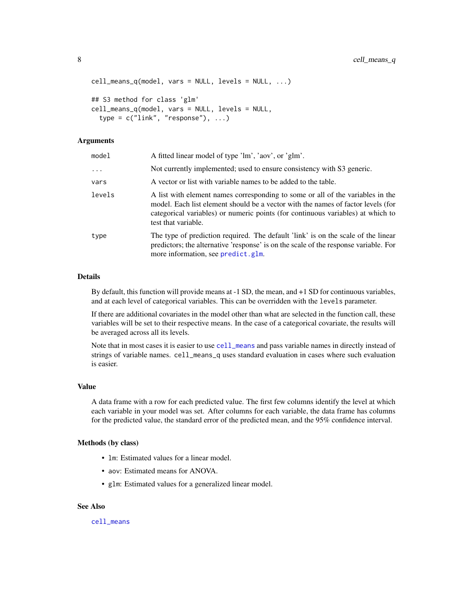```
cell_means_q(model, vars = NULL, levels = NULL, ...)
## S3 method for class 'glm'
cell_means_q(model, vars = NULL, levels = NULL,
  type = c("link", "response"), ...)
```
#### **Arguments**

| model    | A fitted linear model of type 'lm', 'aov', or 'glm'.                                                                                                                                                                                                                         |
|----------|------------------------------------------------------------------------------------------------------------------------------------------------------------------------------------------------------------------------------------------------------------------------------|
| $\cdots$ | Not currently implemented; used to ensure consistency with S3 generic.                                                                                                                                                                                                       |
| vars     | A vector or list with variable names to be added to the table.                                                                                                                                                                                                               |
| levels   | A list with element names corresponding to some or all of the variables in the<br>model. Each list element should be a vector with the names of factor levels (for<br>categorical variables) or numeric points (for continuous variables) at which to<br>test that variable. |
| type     | The type of prediction required. The default 'link' is on the scale of the linear<br>predictors; the alternative 'response' is on the scale of the response variable. For<br>more information, see predict.glm.                                                              |

### Details

By default, this function will provide means at -1 SD, the mean, and +1 SD for continuous variables, and at each level of categorical variables. This can be overridden with the levels parameter.

If there are additional covariates in the model other than what are selected in the function call, these variables will be set to their respective means. In the case of a categorical covariate, the results will be averaged across all its levels.

Note that in most cases it is easier to use [cell\\_means](#page-5-1) and pass variable names in directly instead of strings of variable names. cell\_means\_q uses standard evaluation in cases where such evaluation is easier.

#### Value

A data frame with a row for each predicted value. The first few columns identify the level at which each variable in your model was set. After columns for each variable, the data frame has columns for the predicted value, the standard error of the predicted mean, and the 95% confidence interval.

#### Methods (by class)

- lm: Estimated values for a linear model.
- aov: Estimated means for ANOVA.
- glm: Estimated values for a generalized linear model.

#### See Also

[cell\\_means](#page-5-1)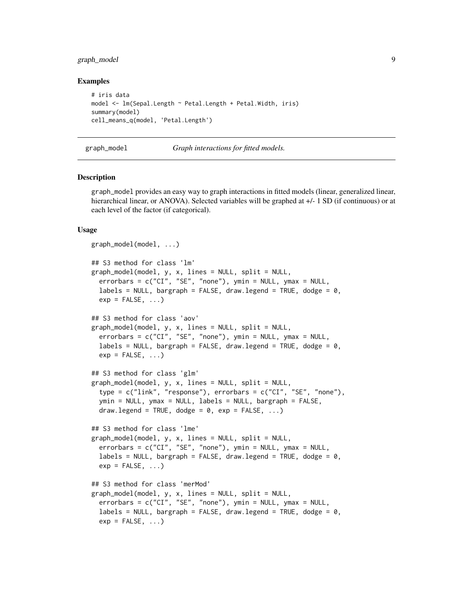# <span id="page-8-0"></span>graph\_model 9

#### Examples

```
# iris data
model <- lm(Sepal.Length ~ Petal.Length + Petal.Width, iris)
summary(model)
cell_means_q(model, 'Petal.Length')
```

```
graph_model Graph interactions for fitted models.
```
### Description

graph\_model provides an easy way to graph interactions in fitted models (linear, generalized linear, hierarchical linear, or ANOVA). Selected variables will be graphed at  $+/-1$  SD (if continuous) or at each level of the factor (if categorical).

#### Usage

```
graph_model(model, ...)
## S3 method for class 'lm'
graph_model(model, y, x, lines = NULL, split = NULL,errorbars = c("CI", "SE", "none"), ymin = NULL, ymax = NULL,
  labels = NULL, bargraph = FALSE, draw.legend = TRUE, dodge = 0,
  exp = FALSE, ...)## S3 method for class 'aov'
graph_model(model, y, x, lines = NULL, split = NULL,
  errorbars = c("CI", "SE", "none"), ymin = NULL, ymax = NULL,
  labels = NULL, bargraph = FALSE, draw.legend = TRUE, dodge = \varnothing,
  exp = FALSE, ...)## S3 method for class 'glm'
graph_model(model, y, x, lines = NULL, split = NULL,
  type = c("link", "response"), errorbars = c("CI", "SE", "none"),ymin = NULL, ymax = NULL, labels = NULL, bargraph = FALSE,
  draw.legend = TRUE, dodge = 0, exp = FALSE, ...)
## S3 method for class 'lme'
graph_model(model, y, x, lines = NULL, split = NULL,errorbars = c("CI", "SE", "none"), ymin = NULL, ymax = NULL,
  labels = NULL, bargraph = FALSE, draw.legend = TRUE, dodge = 0,
  exp = FALSE, ...)## S3 method for class 'merMod'
graph_model(model, y, x, lines = NULL, split = NULL,
  errorbars = c("CI", "SE", "none"), ymin = NULL, ymax = NULL,labels = NULL, bargraph = FALSE, draw.legend = TRUE, dodge = 0,
  exp = FALSE, ...)
```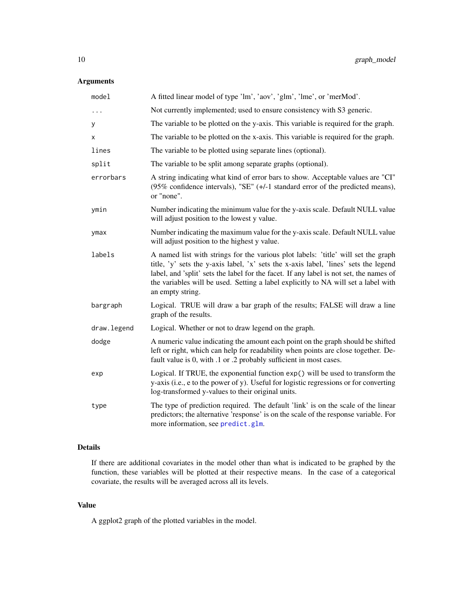# <span id="page-9-0"></span>Arguments

| model       | A fitted linear model of type 'lm', 'aov', 'glm', 'lme', or 'merMod'.                                                                                                                                                                                                                                                                                                         |
|-------------|-------------------------------------------------------------------------------------------------------------------------------------------------------------------------------------------------------------------------------------------------------------------------------------------------------------------------------------------------------------------------------|
| .           | Not currently implemented; used to ensure consistency with S3 generic.                                                                                                                                                                                                                                                                                                        |
| У           | The variable to be plotted on the y-axis. This variable is required for the graph.                                                                                                                                                                                                                                                                                            |
| X           | The variable to be plotted on the x-axis. This variable is required for the graph.                                                                                                                                                                                                                                                                                            |
| lines       | The variable to be plotted using separate lines (optional).                                                                                                                                                                                                                                                                                                                   |
| split       | The variable to be split among separate graphs (optional).                                                                                                                                                                                                                                                                                                                    |
| errorbars   | A string indicating what kind of error bars to show. Acceptable values are "CI"<br>(95% confidence intervals), "SE" (+/-1 standard error of the predicted means),<br>or "none".                                                                                                                                                                                               |
| ymin        | Number indicating the minimum value for the y-axis scale. Default NULL value<br>will adjust position to the lowest y value.                                                                                                                                                                                                                                                   |
| ymax        | Number indicating the maximum value for the y-axis scale. Default NULL value<br>will adjust position to the highest y value.                                                                                                                                                                                                                                                  |
| labels      | A named list with strings for the various plot labels: 'title' will set the graph<br>title, 'y' sets the y-axis label, 'x' sets the x-axis label, 'lines' sets the legend<br>label, and 'split' sets the label for the facet. If any label is not set, the names of<br>the variables will be used. Setting a label explicitly to NA will set a label with<br>an empty string. |
| bargraph    | Logical. TRUE will draw a bar graph of the results; FALSE will draw a line<br>graph of the results.                                                                                                                                                                                                                                                                           |
| draw.legend | Logical. Whether or not to draw legend on the graph.                                                                                                                                                                                                                                                                                                                          |
| dodge       | A numeric value indicating the amount each point on the graph should be shifted<br>left or right, which can help for readability when points are close together. De-<br>fault value is 0, with .1 or .2 probably sufficient in most cases.                                                                                                                                    |
| exp         | Logical. If TRUE, the exponential function $exp()$ will be used to transform the<br>y-axis (i.e., e to the power of y). Useful for logistic regressions or for converting<br>log-transformed y-values to their original units.                                                                                                                                                |
| type        | The type of prediction required. The default 'link' is on the scale of the linear<br>predictors; the alternative 'response' is on the scale of the response variable. For<br>more information, see predict.glm.                                                                                                                                                               |

# Details

If there are additional covariates in the model other than what is indicated to be graphed by the function, these variables will be plotted at their respective means. In the case of a categorical covariate, the results will be averaged across all its levels.

# Value

A ggplot2 graph of the plotted variables in the model.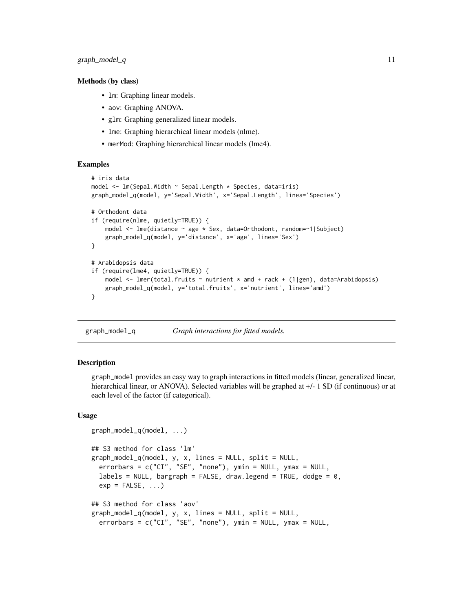#### <span id="page-10-0"></span>Methods (by class)

- 1m: Graphing linear models.
- aov: Graphing ANOVA.
- glm: Graphing generalized linear models.
- lme: Graphing hierarchical linear models (nlme).
- merMod: Graphing hierarchical linear models (lme4).

#### Examples

```
# iris data
model <- lm(Sepal.Width ~ Sepal.Length * Species, data=iris)
graph_model_q(model, y='Sepal.Width', x='Sepal.Length', lines='Species')
# Orthodont data
if (require(nlme, quietly=TRUE)) {
    model <- lme(distance ~ age * Sex, data=Orthodont, random=~1|Subject)
    graph_model_q(model, y='distance', x='age', lines='Sex')
}
# Arabidopsis data
if (require(lme4, quietly=TRUE)) {
   model \leq lmer(total.fruits \sim nutrient \star amd + rack + (1|gen), data=Arabidopsis)
   graph_model_q(model, y='total.fruits', x='nutrient', lines='amd')
}
```

```
graph_model_q Graph interactions for fitted models.
```
#### **Description**

graph\_model provides an easy way to graph interactions in fitted models (linear, generalized linear, hierarchical linear, or ANOVA). Selected variables will be graphed at  $+/-1$  SD (if continuous) or at each level of the factor (if categorical).

#### Usage

```
graph_model_q(model, ...)
## S3 method for class 'lm'
graph_model_q(model, y, x, lines = NULL, split = NULL,errorbars = c("CI", "SE", "none"), ymin = NULL, ymax = NULL,
  labels = NULL, bargraph = FALSE, draw.length = TRUE, dode = 0.
 exp = FALSE, ...)## S3 method for class 'aov'
graph_model_q(model, y, x, lines = NULL, split = NULL,
 errorbars = c("CI", "SE", "none"), ymin = NULL, ymax = NULL,
```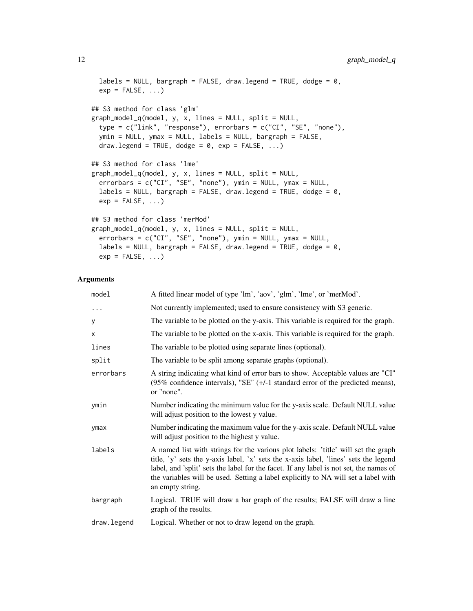```
labels = NULL, bargraph = FALSE, draw.legend = TRUE, dodge = 0,
 exp = FALSE, ...)## S3 method for class 'glm'
graph_model_q(model, y, x, lines = NULL, split = NULL,
  type = c("link", "response"), errorbars = c("CI", "SE", "none"),
 ymin = NULL, ymax = NULL, labels = NULL, bargraph = FALSE,
 draw.legend = TRUE, dodge = 0, exp = FALSE, ...)
## S3 method for class 'lme'
graph_model_q(model, y, x, lines = NULL, split = NULL,
 errorbars = c("CI", "SE", "none"), ymin = NULL, ymax = NULL,
 labels = NULL, bargraph = FALSE, draw.legend = TRUE, dodge = 0,
 exp = FALSE, ...)## S3 method for class 'merMod'
graph_model_q(model, y, x, lines = NULL, split = NULL,
 errorbars = c("CI", "SE", "none"), ymin = NULL, ymax = NULL,
 labels = NULL, bargraph = FALSE, draw.legend = TRUE, dodge = 0,
 exp = FALSE, ...
```
# Arguments

| model       | A fitted linear model of type 'lm', 'aov', 'glm', 'lme', or 'merMod'.                                                                                                                                                                                                                                                                                                         |
|-------------|-------------------------------------------------------------------------------------------------------------------------------------------------------------------------------------------------------------------------------------------------------------------------------------------------------------------------------------------------------------------------------|
| .           | Not currently implemented; used to ensure consistency with S3 generic.                                                                                                                                                                                                                                                                                                        |
| У           | The variable to be plotted on the y-axis. This variable is required for the graph.                                                                                                                                                                                                                                                                                            |
| X           | The variable to be plotted on the x-axis. This variable is required for the graph.                                                                                                                                                                                                                                                                                            |
| lines       | The variable to be plotted using separate lines (optional).                                                                                                                                                                                                                                                                                                                   |
| split       | The variable to be split among separate graphs (optional).                                                                                                                                                                                                                                                                                                                    |
| errorbars   | A string indicating what kind of error bars to show. Acceptable values are "CI"<br>(95% confidence intervals), "SE" (+/-1 standard error of the predicted means),<br>or "none".                                                                                                                                                                                               |
| ymin        | Number indicating the minimum value for the y-axis scale. Default NULL value<br>will adjust position to the lowest y value.                                                                                                                                                                                                                                                   |
| ymax        | Number indicating the maximum value for the y-axis scale. Default NULL value<br>will adjust position to the highest y value.                                                                                                                                                                                                                                                  |
| labels      | A named list with strings for the various plot labels: 'title' will set the graph<br>title, 'y' sets the y-axis label, 'x' sets the x-axis label, 'lines' sets the legend<br>label, and 'split' sets the label for the facet. If any label is not set, the names of<br>the variables will be used. Setting a label explicitly to NA will set a label with<br>an empty string. |
| bargraph    | Logical. TRUE will draw a bar graph of the results; FALSE will draw a line<br>graph of the results.                                                                                                                                                                                                                                                                           |
| draw.legend | Logical. Whether or not to draw legend on the graph.                                                                                                                                                                                                                                                                                                                          |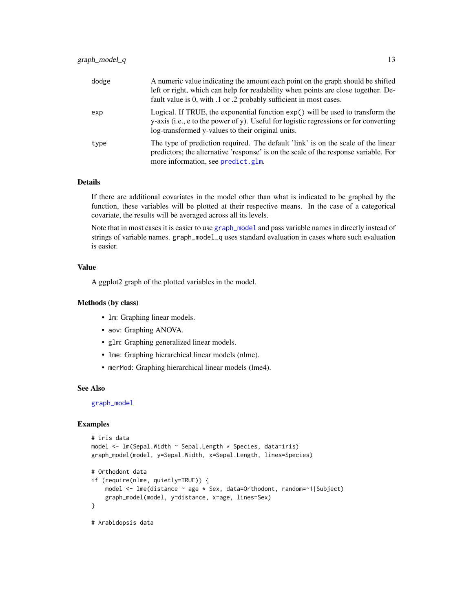<span id="page-12-0"></span>

| dodge | A numeric value indicating the amount each point on the graph should be shifted<br>left or right, which can help for readability when points are close together. De-<br>fault value is 0, with .1 or .2 probably sufficient in most cases. |
|-------|--------------------------------------------------------------------------------------------------------------------------------------------------------------------------------------------------------------------------------------------|
| exp   | Logical. If TRUE, the exponential function $exp()$ will be used to transform the<br>y-axis (i.e., e to the power of y). Useful for logistic regressions or for converting<br>log-transformed y-values to their original units.             |
| type  | The type of prediction required. The default 'link' is on the scale of the linear<br>predictors; the alternative 'response' is on the scale of the response variable. For<br>more information, see predict.glm.                            |

# Details

If there are additional covariates in the model other than what is indicated to be graphed by the function, these variables will be plotted at their respective means. In the case of a categorical covariate, the results will be averaged across all its levels.

Note that in most cases it is easier to use [graph\\_model](#page-8-1) and pass variable names in directly instead of strings of variable names. graph\_model\_q uses standard evaluation in cases where such evaluation is easier.

### Value

A ggplot2 graph of the plotted variables in the model.

#### Methods (by class)

- lm: Graphing linear models.
- aov: Graphing ANOVA.
- glm: Graphing generalized linear models.
- lme: Graphing hierarchical linear models (nlme).
- merMod: Graphing hierarchical linear models (lme4).

#### See Also

[graph\\_model](#page-8-1)

```
# iris data
model <- lm(Sepal.Width ~ Sepal.Length * Species, data=iris)
graph_model(model, y=Sepal.Width, x=Sepal.Length, lines=Species)
# Orthodont data
if (require(nlme, quietly=TRUE)) {
   model <- lme(distance ~ age * Sex, data=Orthodont, random=~1|Subject)
    graph_model(model, y=distance, x=age, lines=Sex)
}
# Arabidopsis data
```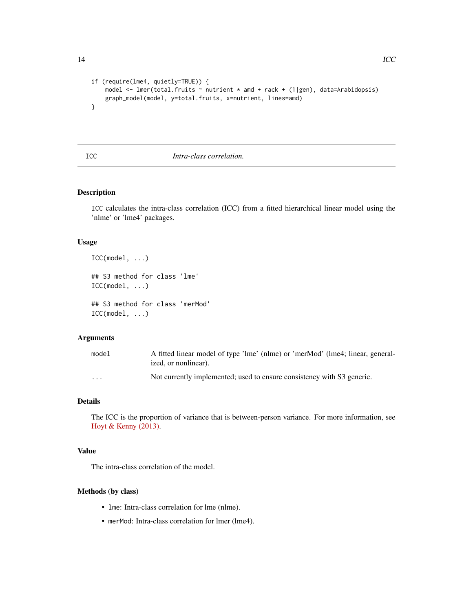```
if (require(lme4, quietly=TRUE)) {
   model <- lmer(total.fruits ~ nutrient * amd + rack + (1|gen), data=Arabidopsis)
   graph_model(model, y=total.fruits, x=nutrient, lines=amd)
}
```
#### <span id="page-13-1"></span>ICC *Intra-class correlation.*

# Description

ICC calculates the intra-class correlation (ICC) from a fitted hierarchical linear model using the 'nlme' or 'lme4' packages.

#### Usage

```
ICC(model, ...)
## S3 method for class 'lme'
ICC(model, ...)
## S3 method for class 'merMod'
ICC(model, ...)
```
# Arguments

| model    | A fitted linear model of type 'lme' (nlme) or 'merMod' (lme4; linear, general-<br>ized, or nonlinear). |
|----------|--------------------------------------------------------------------------------------------------------|
| $\cdots$ | Not currently implemented; used to ensure consistency with S3 generic.                                 |

#### Details

The ICC is the proportion of variance that is between-person variance. For more information, see [Hoyt & Kenny \(2013\).](http://davidakenny.net/papers/k&h/MLM_R.pdf)

#### Value

The intra-class correlation of the model.

# Methods (by class)

- lme: Intra-class correlation for lme (nlme).
- merMod: Intra-class correlation for lmer (lme4).

<span id="page-13-0"></span>14 ICC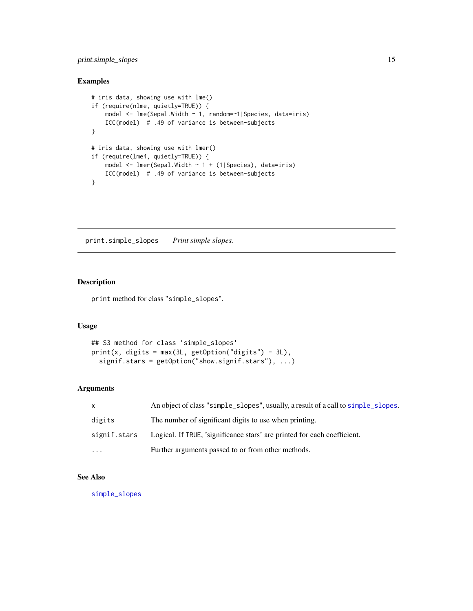# <span id="page-14-0"></span>print.simple\_slopes 15

# Examples

```
# iris data, showing use with lme()
if (require(nlme, quietly=TRUE)) {
    model <- lme(Sepal.Width ~ 1, random=~1|Species, data=iris)
   ICC(model) # .49 of variance is between-subjects
}
# iris data, showing use with lmer()
if (require(lme4, quietly=TRUE)) {
   model <- lmer(Sepal.Width ~ 1 + (1|Species), data=iris)
   ICC(model) # .49 of variance is between-subjects
}
```
print.simple\_slopes *Print simple slopes.*

# Description

print method for class "simple\_slopes".

# Usage

```
## S3 method for class 'simple_slopes'
print(x, digits = max(3L, getOption("digits") - 3L),
  signif.stars = getOption("show.signif.stars"), ...)
```
#### Arguments

| $\mathsf{x}$      | An object of class "simple_slopes", usually, a result of a call to simple_slopes. |
|-------------------|-----------------------------------------------------------------------------------|
| digits            | The number of significant digits to use when printing.                            |
| signif.stars      | Logical. If TRUE, 'significance stars' are printed for each coefficient.          |
| $\cdot\cdot\cdot$ | Further arguments passed to or from other methods.                                |

# See Also

[simple\\_slopes](#page-17-1)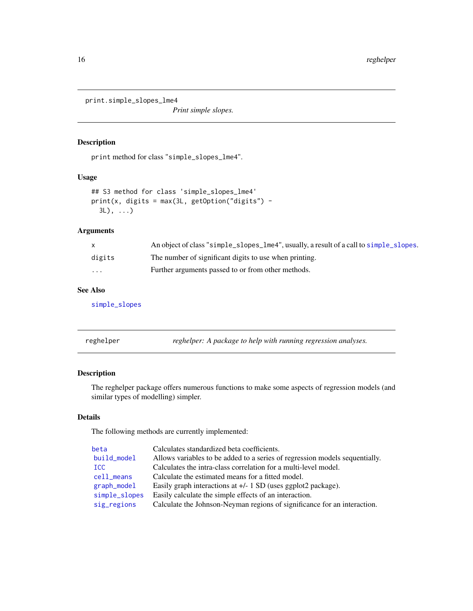<span id="page-15-0"></span>print.simple\_slopes\_lme4

*Print simple slopes.*

# Description

print method for class "simple\_slopes\_lme4".

# Usage

```
## S3 method for class 'simple_slopes_lme4'
print(x, \text{ digits} = max(3L, \text{ getOption("digits")} -3L), ...)
```
# Arguments

|                         | An object of class "simple_slopes_lme4", usually, a result of a call to simple_slopes. |
|-------------------------|----------------------------------------------------------------------------------------|
| digits                  | The number of significant digits to use when printing.                                 |
| $\cdot$ $\cdot$ $\cdot$ | Further arguments passed to or from other methods.                                     |

# See Also

[simple\\_slopes](#page-17-1)

reghelper *reghelper: A package to help with running regression analyses.*

# Description

The reghelper package offers numerous functions to make some aspects of regression models (and similar types of modelling) simpler.

### Details

The following methods are currently implemented:

| beta          | Calculates standardized beta coefficients.                                  |
|---------------|-----------------------------------------------------------------------------|
| build_model   | Allows variables to be added to a series of regression models sequentially. |
| <b>ICC</b>    | Calculates the intra-class correlation for a multi-level model.             |
| cell_means    | Calculate the estimated means for a fitted model.                           |
| graph_model   | Easily graph interactions at $+/- 1$ SD (uses ggplot2 package).             |
| simple_slopes | Easily calculate the simple effects of an interaction.                      |
| sig_regions   | Calculate the Johnson-Neyman regions of significance for an interaction.    |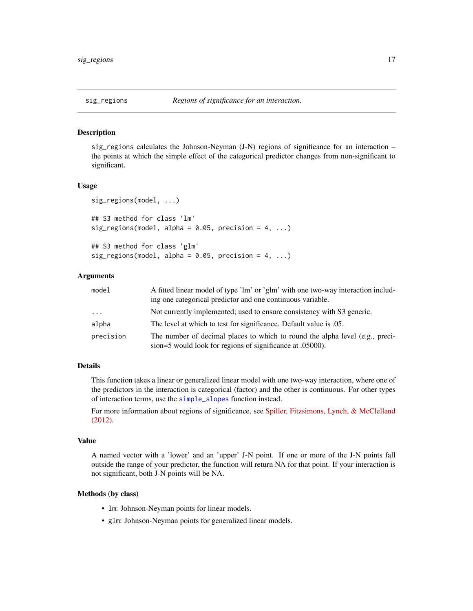<span id="page-16-1"></span><span id="page-16-0"></span>

#### **Description**

sig\_regions calculates the Johnson-Neyman (J-N) regions of significance for an interaction – the points at which the simple effect of the categorical predictor changes from non-significant to significant.

#### Usage

```
sig_regions(model, ...)
## S3 method for class 'lm'
sig\_regions (model, alpha = 0.05, precision = 4, ...)## S3 method for class 'glm'
sig\_regions (model, alpha = 0.05, precision = 4, ...)
```
# Arguments

| model     | A fitted linear model of type 'lm' or 'glm' with one two-way interaction includ-                                                          |
|-----------|-------------------------------------------------------------------------------------------------------------------------------------------|
|           | ing one categorical predictor and one continuous variable.                                                                                |
| $\cdots$  | Not currently implemented; used to ensure consistency with S3 generic.                                                                    |
| alpha     | The level at which to test for significance. Default value is 0.05.                                                                       |
| precision | The number of decimal places to which to round the alpha level (e.g., preci-<br>sion=5 would look for regions of significance at .05000). |

# Details

This function takes a linear or generalized linear model with one two-way interaction, where one of the predictors in the interaction is categorical (factor) and the other is continuous. For other types of interaction terms, use the [simple\\_slopes](#page-17-1) function instead.

For more information about regions of significance, see [Spiller, Fitzsimons, Lynch, & McClelland](http://ssrn.com/abstract=2208103) [\(2012\).](http://ssrn.com/abstract=2208103)

#### Value

A named vector with a 'lower' and an 'upper' J-N point. If one or more of the J-N points fall outside the range of your predictor, the function will return NA for that point. If your interaction is not significant, both J-N points will be NA.

#### Methods (by class)

- lm: Johnson-Neyman points for linear models.
- glm: Johnson-Neyman points for generalized linear models.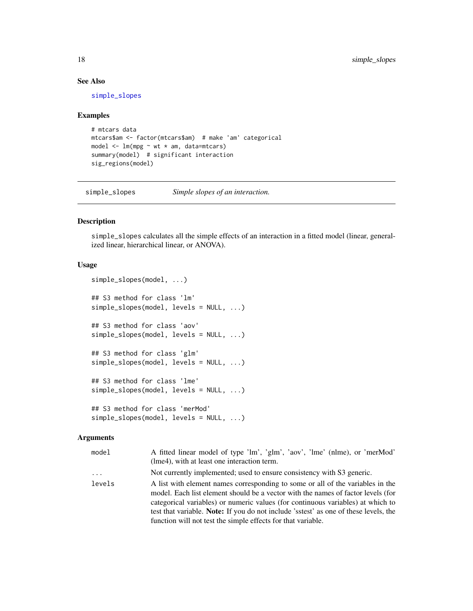# See Also

[simple\\_slopes](#page-17-1)

#### Examples

```
# mtcars data
mtcars$am <- factor(mtcars$am) # make 'am' categorical
model \leq lm(mpg \sim wt \star am, data=mtcars)
summary(model) # significant interaction
sig_regions(model)
```
<span id="page-17-1"></span>simple\_slopes *Simple slopes of an interaction.*

# Description

simple\_slopes calculates all the simple effects of an interaction in a fitted model (linear, generalized linear, hierarchical linear, or ANOVA).

#### Usage

```
simple_slopes(model, ...)
## S3 method for class 'lm'
simple_slopes(model, levels = NULL, ...)
## S3 method for class 'aov'
simple_slopes(model, levels = NULL, ...)
## S3 method for class 'glm'
simple_slopes(model, levels = NULL, ...)
## S3 method for class 'lme'
simple_slopes(model, levels = NULL, ...)
## S3 method for class 'merMod'
simple_slopes(model, levels = NULL, ...)
```
#### Arguments

| model    | A fitted linear model of type 'lm', 'glm', 'aov', 'lme' (nlme), or 'merMod'<br>(lme4), with at least one interaction term.                                                                                                                                                                                                                                                                                    |
|----------|---------------------------------------------------------------------------------------------------------------------------------------------------------------------------------------------------------------------------------------------------------------------------------------------------------------------------------------------------------------------------------------------------------------|
| $\cdots$ | Not currently implemented; used to ensure consistency with S3 generic.                                                                                                                                                                                                                                                                                                                                        |
| levels   | A list with element names corresponding to some or all of the variables in the<br>model. Each list element should be a vector with the names of factor levels (for<br>categorical variables) or numeric values (for continuous variables) at which to<br>test that variable. Note: If you do not include 'sstest' as one of these levels, the<br>function will not test the simple effects for that variable. |

<span id="page-17-0"></span>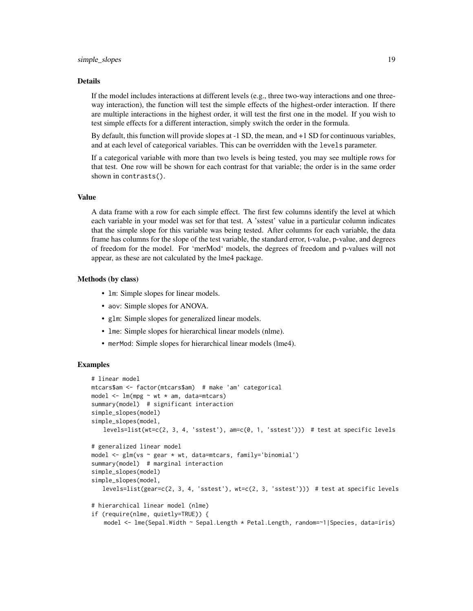#### Details

If the model includes interactions at different levels (e.g., three two-way interactions and one threeway interaction), the function will test the simple effects of the highest-order interaction. If there are multiple interactions in the highest order, it will test the first one in the model. If you wish to test simple effects for a different interaction, simply switch the order in the formula.

By default, this function will provide slopes at -1 SD, the mean, and +1 SD for continuous variables, and at each level of categorical variables. This can be overridden with the levels parameter.

If a categorical variable with more than two levels is being tested, you may see multiple rows for that test. One row will be shown for each contrast for that variable; the order is in the same order shown in contrasts().

#### Value

A data frame with a row for each simple effect. The first few columns identify the level at which each variable in your model was set for that test. A 'sstest' value in a particular column indicates that the simple slope for this variable was being tested. After columns for each variable, the data frame has columns for the slope of the test variable, the standard error, t-value, p-value, and degrees of freedom for the model. For 'merMod' models, the degrees of freedom and p-values will not appear, as these are not calculated by the lme4 package.

#### Methods (by class)

- lm: Simple slopes for linear models.
- aov: Simple slopes for ANOVA.
- glm: Simple slopes for generalized linear models.
- lme: Simple slopes for hierarchical linear models (nlme).
- merMod: Simple slopes for hierarchical linear models (lme4).

```
# linear model
mtcars$am <- factor(mtcars$am) # make 'am' categorical
model \leq lm(mpg \sim wt \star am, data=mtcars)
summary(model) # significant interaction
simple_slopes(model)
simple_slopes(model,
   levels=list(wt=c(2, 3, 4, 'sstest'), am=c(\emptyset, 1, 'sstest'))) # test at specific levels
# generalized linear model
model <- glm(vs ~ gear * wt, data=mtcars, family='binomial')
summary(model) # marginal interaction
simple_slopes(model)
simple_slopes(model,
   levels=list(gear=c(2, 3, 4, 'sstest'), wt=c(2, 3, 'sstest')) # test at specific levels
# hierarchical linear model (nlme)
if (require(nlme, quietly=TRUE)) {
   model <- lme(Sepal.Width ~ Sepal.Length * Petal.Length, random=~1|Species, data=iris)
```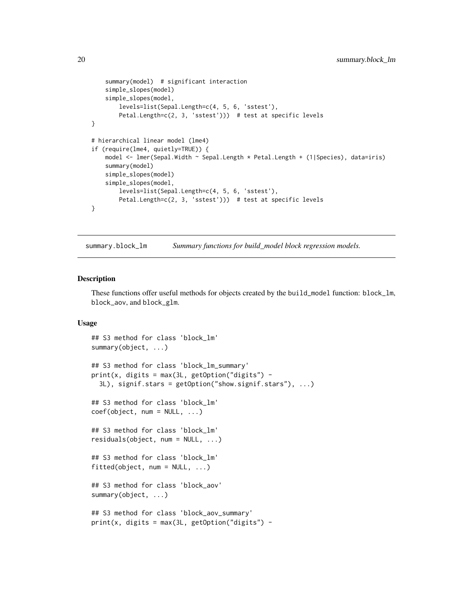```
summary(model) # significant interaction
    simple_slopes(model)
    simple_slopes(model,
       levels=list(Sepal.Length=c(4, 5, 6, 'sstest'),
       Petal.Length=c(2, 3, 'sstest'))) # test at specific levels
}
# hierarchical linear model (lme4)
if (require(lme4, quietly=TRUE)) {
   model <- lmer(Sepal.Width ~ Sepal.Length * Petal.Length + (1|Species), data=iris)
    summary(model)
   simple_slopes(model)
    simple_slopes(model,
       levels=list(Sepal.Length=c(4, 5, 6, 'sstest'),
       Petal.Length=c(2, 3, 'sstest'))) # test at specific levels
}
```
summary.block\_lm *Summary functions for build\_model block regression models.*

#### Description

These functions offer useful methods for objects created by the build\_model function: block\_lm, block\_aov, and block\_glm.

#### Usage

```
## S3 method for class 'block_lm'
summary(object, ...)
## S3 method for class 'block_lm_summary'
print(x, \text{ digits} = max(3L, getOption("digits") -3L), signif.stars = getOption("show.signif.stars"), ...)
## S3 method for class 'block_lm'
coef(object, num = NULL, ...)
## S3 method for class 'block_lm'
residuals(object, num = NULL, ...)
## S3 method for class 'block_lm'
fitted(object, num = NULL, ...)
## S3 method for class 'block_aov'
summary(object, ...)
## S3 method for class 'block_aov_summary'
print(x, \text{ digits} = max(3L, \text{ getOption("digits")} -
```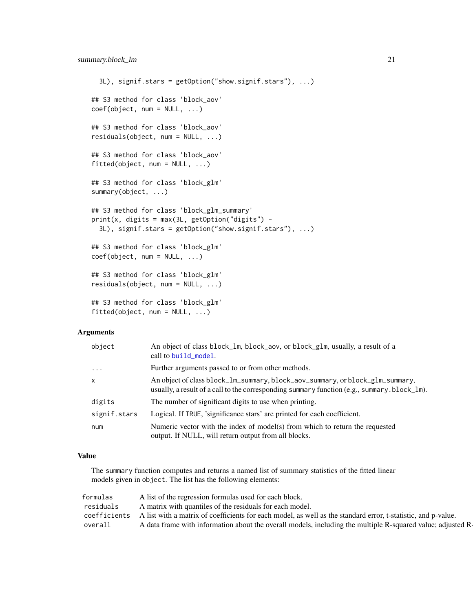```
3L), signif.stars = getOption("show.signif.stars"), ...)
## S3 method for class 'block_aov'
coef(object, num = NULL, ...)## S3 method for class 'block_aov'
residuals(object, num = NULL, ...)
## S3 method for class 'block_aov'
fitted(object, num = NULL, ...)## S3 method for class 'block_glm'
summary(object, ...)
## S3 method for class 'block_glm_summary'
print(x, \text{ digits} = max(3L, \text{ getOption("digits")} -3L), signif.stars = getOption("show.signif.stars"), ...)
## S3 method for class 'block_glm'
coef(object, num = NULL, ...)
## S3 method for class 'block_glm'
residuals(object, num = NULL, ...)
## S3 method for class 'block_glm'
fitted(object, num = NULL, ...)
```
#### Arguments

| object       | An object of class block_lm, block_aov, or block_glm, usually, a result of a<br>call to build_model.                                                                                    |
|--------------|-----------------------------------------------------------------------------------------------------------------------------------------------------------------------------------------|
| $\ddots$     | Further arguments passed to or from other methods.                                                                                                                                      |
| x            | An object of class block_lm_summary, block_aov_summary, or block_glm_summary,<br>usually, a result of a call to the corresponding summary function (e.g., summary $block\_block\_lm$ ). |
| digits       | The number of significant digits to use when printing.                                                                                                                                  |
| signif.stars | Logical. If TRUE, 'significance stars' are printed for each coefficient.                                                                                                                |
| num          | Numeric vector with the index of model(s) from which to return the requested<br>output. If NULL, will return output from all blocks.                                                    |

#### Value

The summary function computes and returns a named list of summary statistics of the fitted linear models given in object. The list has the following elements:

| formulas     | A list of the regression formulas used for each block.                                                        |
|--------------|---------------------------------------------------------------------------------------------------------------|
| residuals    | A matrix with quantiles of the residuals for each model.                                                      |
| coefficients | A list with a matrix of coefficients for each model, as well as the standard error, t-statistic, and p-value. |
| overall      | A data frame with information about the overall models, including the multiple R-squared value; adjusted R-   |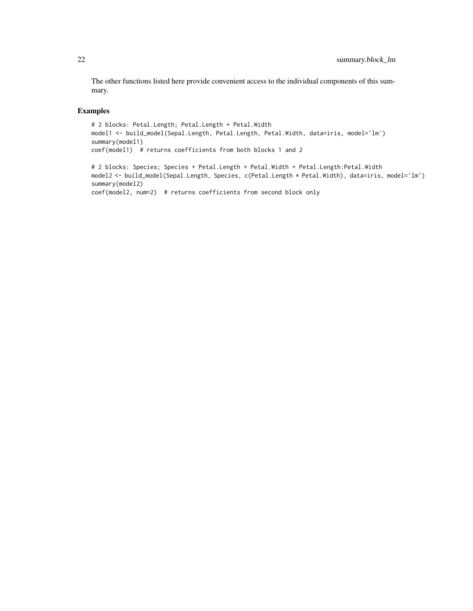The other functions listed here provide convenient access to the individual components of this summary.

```
# 2 blocks: Petal.Length; Petal.Length + Petal.Width
model1 <- build_model(Sepal.Length, Petal.Length, Petal.Width, data=iris, model='lm')
summary(model1)
coef(model1) # returns coefficients from both blocks 1 and 2
# 2 blocks: Species; Species + Petal.Length + Petal.Width + Petal.Length:Petal.Width
model2 <- build_model(Sepal.Length, Species, c(Petal.Length * Petal.Width), data=iris, model='lm')
summary(model2)
coef(model2, num=2) # returns coefficients from second block only
```